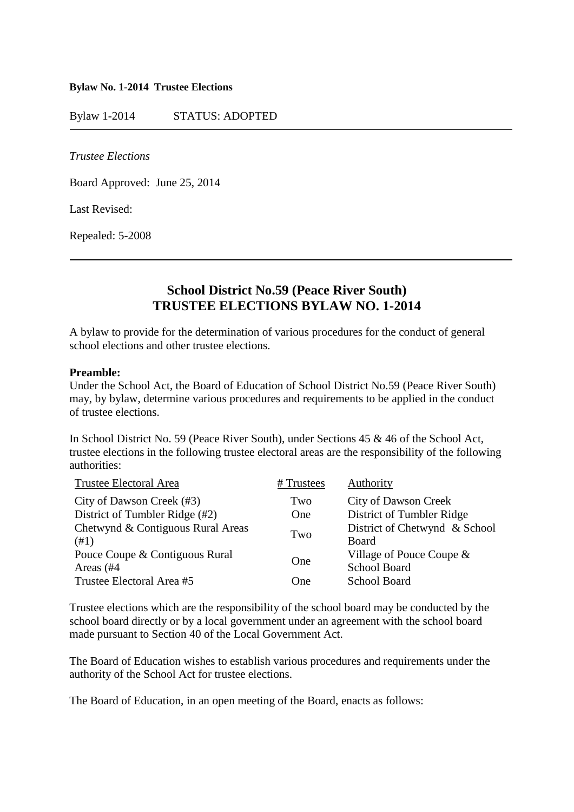#### **Bylaw No. 1-2014 Trustee Elections**

Bylaw 1-2014 STATUS: ADOPTED

*Trustee Elections*

Board Approved: June 25, 2014

Last Revised:

Repealed: 5-2008

# **School District No.59 (Peace River South) TRUSTEE ELECTIONS BYLAW NO. 1-2014**

A bylaw to provide for the determination of various procedures for the conduct of general school elections and other trustee elections.

#### **Preamble:**

Under the School Act, the Board of Education of School District No.59 (Peace River South) may, by bylaw, determine various procedures and requirements to be applied in the conduct of trustee elections.

In School District No. 59 (Peace River South), under Sections 45 & 46 of the School Act, trustee elections in the following trustee electoral areas are the responsibility of the following authorities:

| <b>Trustee Electoral Area</b>               | # Trustees | Authority                                          |
|---------------------------------------------|------------|----------------------------------------------------|
| City of Dawson Creek (#3)                   | Two        | City of Dawson Creek                               |
| District of Tumbler Ridge (#2)              | One        | District of Tumbler Ridge                          |
| Chetwynd & Contiguous Rural Areas<br>(41)   | Two        | District of Chetwynd & School<br>Board             |
| Pouce Coupe & Contiguous Rural<br>Areas (#4 | One        | Village of Pouce Coupe $\&$<br><b>School Board</b> |
| Trustee Electoral Area #5                   | One        | <b>School Board</b>                                |

Trustee elections which are the responsibility of the school board may be conducted by the school board directly or by a local government under an agreement with the school board made pursuant to Section 40 of the Local Government Act.

The Board of Education wishes to establish various procedures and requirements under the authority of the School Act for trustee elections.

The Board of Education, in an open meeting of the Board, enacts as follows: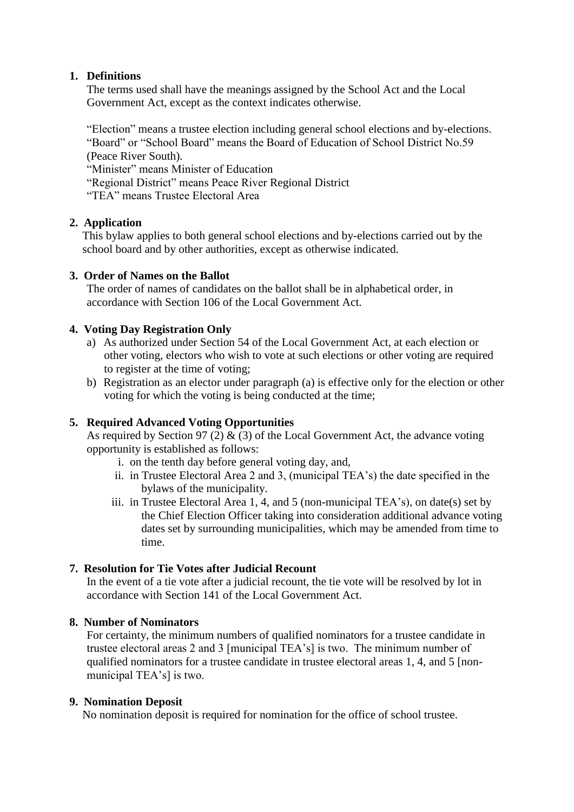## **1. Definitions**

The terms used shall have the meanings assigned by the School Act and the Local Government Act, except as the context indicates otherwise.

"Election" means a trustee election including general school elections and by-elections. "Board" or "School Board" means the Board of Education of School District No.59 (Peace River South).

"Minister" means Minister of Education

"Regional District" means Peace River Regional District

"TEA" means Trustee Electoral Area

## **2. Application**

This bylaw applies to both general school elections and by-elections carried out by the school board and by other authorities, except as otherwise indicated.

#### **3. Order of Names on the Ballot**

The order of names of candidates on the ballot shall be in alphabetical order, in accordance with Section 106 of the Local Government Act.

#### **4. Voting Day Registration Only**

- a) As authorized under Section 54 of the Local Government Act, at each election or other voting, electors who wish to vote at such elections or other voting are required to register at the time of voting;
- b) Registration as an elector under paragraph (a) is effective only for the election or other voting for which the voting is being conducted at the time;

## **5. Required Advanced Voting Opportunities**

As required by Section 97 (2)  $\&$  (3) of the Local Government Act, the advance voting opportunity is established as follows:

- i. on the tenth day before general voting day, and,
- ii. in Trustee Electoral Area 2 and 3, (municipal TEA's) the date specified in the bylaws of the municipality.
- iii. in Trustee Electoral Area 1, 4, and 5 (non-municipal TEA's), on date(s) set by the Chief Election Officer taking into consideration additional advance voting dates set by surrounding municipalities, which may be amended from time to time.

#### **7. Resolution for Tie Votes after Judicial Recount**

In the event of a tie vote after a judicial recount, the tie vote will be resolved by lot in accordance with Section 141 of the Local Government Act.

#### **8. Number of Nominators**

For certainty, the minimum numbers of qualified nominators for a trustee candidate in trustee electoral areas 2 and 3 [municipal TEA's] is two. The minimum number of qualified nominators for a trustee candidate in trustee electoral areas 1, 4, and 5 [nonmunicipal TEA's] is two.

#### **9. Nomination Deposit**

No nomination deposit is required for nomination for the office of school trustee.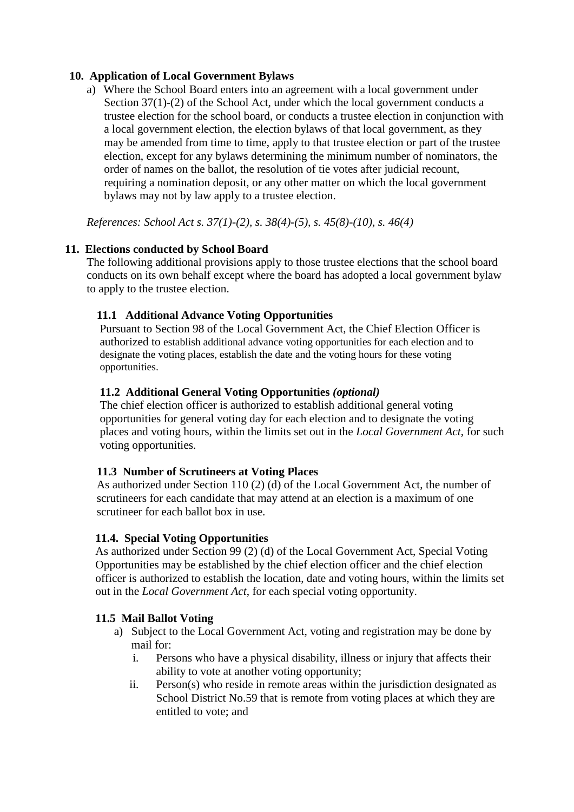## **10. Application of Local Government Bylaws**

a) Where the School Board enters into an agreement with a local government under Section 37(1)-(2) of the School Act, under which the local government conducts a trustee election for the school board, or conducts a trustee election in conjunction with a local government election, the election bylaws of that local government, as they may be amended from time to time, apply to that trustee election or part of the trustee election, except for any bylaws determining the minimum number of nominators, the order of names on the ballot, the resolution of tie votes after judicial recount, requiring a nomination deposit, or any other matter on which the local government bylaws may not by law apply to a trustee election.

*References: School Act s. 37(1)-(2), s. 38(4)-(5), s. 45(8)-(10), s. 46(4)*

## **11. Elections conducted by School Board**

The following additional provisions apply to those trustee elections that the school board conducts on its own behalf except where the board has adopted a local government bylaw to apply to the trustee election.

# **11.1 Additional Advance Voting Opportunities**

Pursuant to Section 98 of the Local Government Act, the Chief Election Officer is authorized to establish additional advance voting opportunities for each election and to designate the voting places, establish the date and the voting hours for these voting opportunities.

# **11.2 Additional General Voting Opportunities** *(optional)*

The chief election officer is authorized to establish additional general voting opportunities for general voting day for each election and to designate the voting places and voting hours, within the limits set out in the *Local Government Act*, for such voting opportunities.

## **11.3 Number of Scrutineers at Voting Places**

As authorized under Section 110 (2) (d) of the Local Government Act, the number of scrutineers for each candidate that may attend at an election is a maximum of one scrutineer for each ballot box in use.

## **11.4. Special Voting Opportunities**

As authorized under Section 99 (2) (d) of the Local Government Act, Special Voting Opportunities may be established by the chief election officer and the chief election officer is authorized to establish the location, date and voting hours, within the limits set out in the *Local Government Act*, for each special voting opportunity.

## **11.5 Mail Ballot Voting**

- a) Subject to the Local Government Act, voting and registration may be done by mail for:
	- i. Persons who have a physical disability, illness or injury that affects their ability to vote at another voting opportunity;
	- ii. Person(s) who reside in remote areas within the jurisdiction designated as School District No.59 that is remote from voting places at which they are entitled to vote; and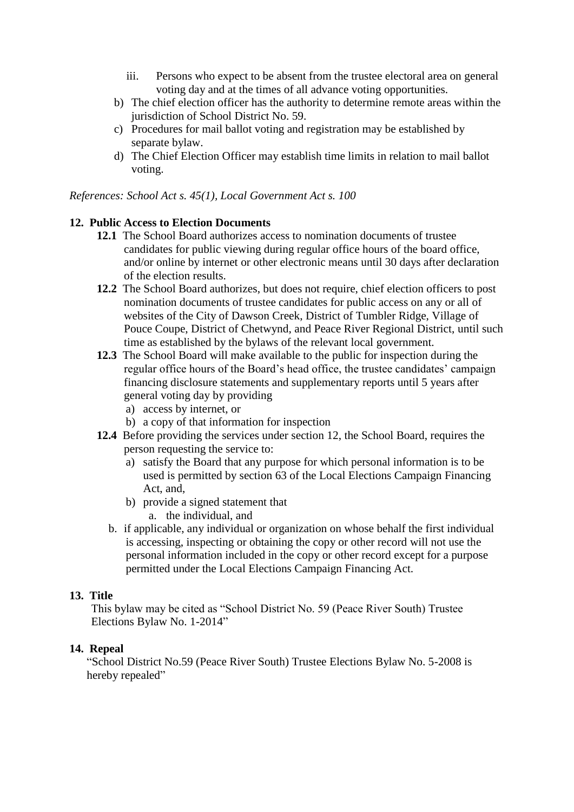- iii. Persons who expect to be absent from the trustee electoral area on general voting day and at the times of all advance voting opportunities.
- b) The chief election officer has the authority to determine remote areas within the jurisdiction of School District No. 59.
- c) Procedures for mail ballot voting and registration may be established by separate bylaw.
- d) The Chief Election Officer may establish time limits in relation to mail ballot voting.

*References: School Act s. 45(1), Local Government Act s. 100*

#### **12. Public Access to Election Documents**

- **12.1** The School Board authorizes access to nomination documents of trustee candidates for public viewing during regular office hours of the board office, and/or online by internet or other electronic means until 30 days after declaration of the election results.
- **12.2** The School Board authorizes, but does not require, chief election officers to post nomination documents of trustee candidates for public access on any or all of websites of the City of Dawson Creek, District of Tumbler Ridge, Village of Pouce Coupe, District of Chetwynd, and Peace River Regional District, until such time as established by the bylaws of the relevant local government.
- **12.3** The School Board will make available to the public for inspection during the regular office hours of the Board's head office, the trustee candidates' campaign financing disclosure statements and supplementary reports until 5 years after general voting day by providing
	- a) access by internet, or
	- b) a copy of that information for inspection
- **12.4** Before providing the services under section 12, the School Board, requires the person requesting the service to:
	- a) satisfy the Board that any purpose for which personal information is to be used is permitted by section 63 of the Local Elections Campaign Financing Act, and,
	- b) provide a signed statement that
		- a. the individual, and
	- b. if applicable, any individual or organization on whose behalf the first individual is accessing, inspecting or obtaining the copy or other record will not use the personal information included in the copy or other record except for a purpose permitted under the Local Elections Campaign Financing Act.

## **13. Title**

This bylaw may be cited as "School District No. 59 (Peace River South) Trustee Elections Bylaw No. 1-2014"

#### **14. Repeal**

"School District No.59 (Peace River South) Trustee Elections Bylaw No. 5-2008 is hereby repealed"